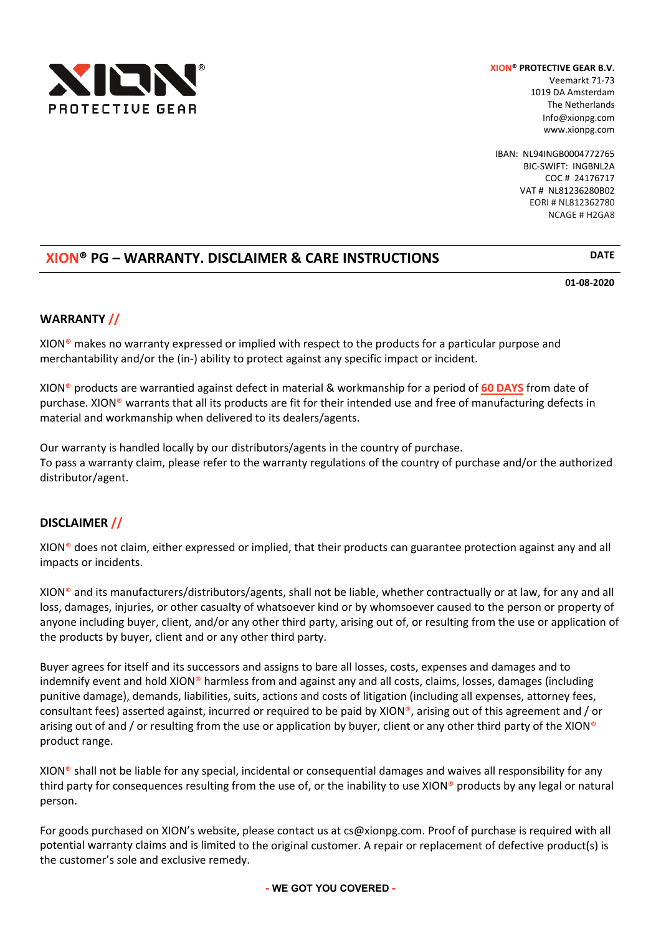

Veemarkt 71‐73 1019 DA Amsterdam The Netherlands Info@xionpg.com www.xionpg.com

IBAN: NL94INGB0004772765 BIC‐SWIFT: INGBNL2A COC # 24176717 VAT # NL81236280B02 EORI # NL812362780 NCAGE # H2GA8

# **XION® PG – WARRANTY. DISCLAIMER & CARE INSTRUCTIONS DATE**

**01‐08‐2020**

## **WARRANTY //**

XION® makes no warranty expressed or implied with respect to the products for a particular purpose and merchantability and/or the (in-) ability to protect against any specific impact or incident.

XION® products are warrantied against defect in material & workmanship for a period of **60 DAYS** from date of purchase. XION® warrants that all its products are fit for their intended use and free of manufacturing defects in material and workmanship when delivered to its dealers/agents.

Our warranty is handled locally by our distributors/agents in the country of purchase. To pass a warranty claim, please refer to the warranty regulations of the country of purchase and/or the authorized distributor/agent.

### **DISCLAIMER //**

XION® does not claim, either expressed or implied, that their products can guarantee protection against any and all impacts or incidents.

XION® and its manufacturers/distributors/agents, shall not be liable, whether contractually or at law, for any and all loss, damages, injuries, or other casualty of whatsoever kind or by whomsoever caused to the person or property of anyone including buyer, client, and/or any other third party, arising out of, or resulting from the use or application of the products by buyer, client and or any other third party.

Buyer agrees for itself and its successors and assigns to bare all losses, costs, expenses and damages and to indemnify event and hold XION® harmless from and against any and all costs, claims, losses, damages (including punitive damage), demands, liabilities, suits, actions and costs of litigation (including all expenses, attorney fees, consultant fees) asserted against, incurred or required to be paid by XION®, arising out of this agreement and / or arising out of and / or resulting from the use or application by buyer, client or any other third party of the XION® product range.

XION® shall not be liable for any special, incidental or consequential damages and waives all responsibility for any third party for consequences resulting from the use of, or the inability to use XION® products by any legal or natural person.

For goods purchased on XION's website, please contact us at cs@xionpg.com. Proof of purchase is required with all potential warranty claims and is limited to the original customer. A repair or replacement of defective product(s) is the customer's sole and exclusive remedy.

**- WE GOT YOU COVERED -**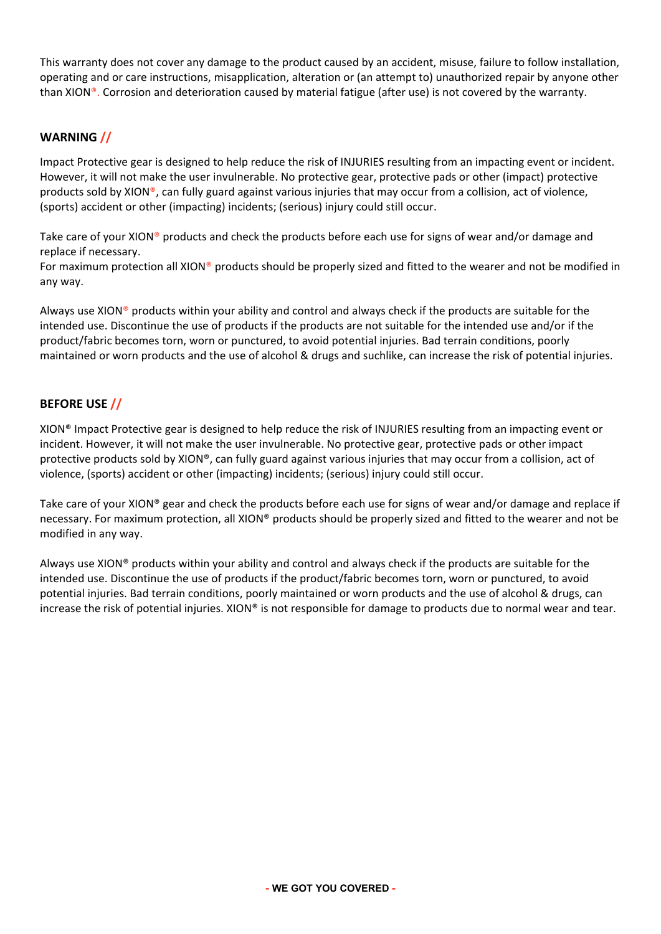This warranty does not cover any damage to the product caused by an accident, misuse, failure to follow installation, operating and or care instructions, misapplication, alteration or (an attempt to) unauthorized repair by anyone other than XION®. Corrosion and deterioration caused by material fatigue (after use) is not covered by the warranty.

## **WARNING //**

Impact Protective gear is designed to help reduce the risk of INJURIES resulting from an impacting event or incident. However, it will not make the user invulnerable. No protective gear, protective pads or other (impact) protective products sold by XION®, can fully guard against various injuries that may occur from a collision, act of violence, (sports) accident or other (impacting) incidents; (serious) injury could still occur.

Take care of your XION® products and check the products before each use for signs of wear and/or damage and replace if necessary.

For maximum protection all XION<sup>®</sup> products should be properly sized and fitted to the wearer and not be modified in any way.

Always use XION® products within your ability and control and always check if the products are suitable for the intended use. Discontinue the use of products if the products are not suitable for the intended use and/or if the product/fabric becomes torn, worn or punctured, to avoid potential injuries. Bad terrain conditions, poorly maintained or worn products and the use of alcohol & drugs and suchlike, can increase the risk of potential injuries.

### **BEFORE USE //**

XION® Impact Protective gear is designed to help reduce the risk of INJURIES resulting from an impacting event or incident. However, it will not make the user invulnerable. No protective gear, protective pads or other impact protective products sold by XION®, can fully guard against various injuries that may occur from a collision, act of violence, (sports) accident or other (impacting) incidents; (serious) injury could still occur.

Take care of your XION® gear and check the products before each use for signs of wear and/or damage and replace if necessary. For maximum protection, all XION® products should be properly sized and fitted to the wearer and not be modified in any way.

Always use XION® products within your ability and control and always check if the products are suitable for the intended use. Discontinue the use of products if the product/fabric becomes torn, worn or punctured, to avoid potential injuries. Bad terrain conditions, poorly maintained or worn products and the use of alcohol & drugs, can increase the risk of potential injuries. XION® is not responsible for damage to products due to normal wear and tear.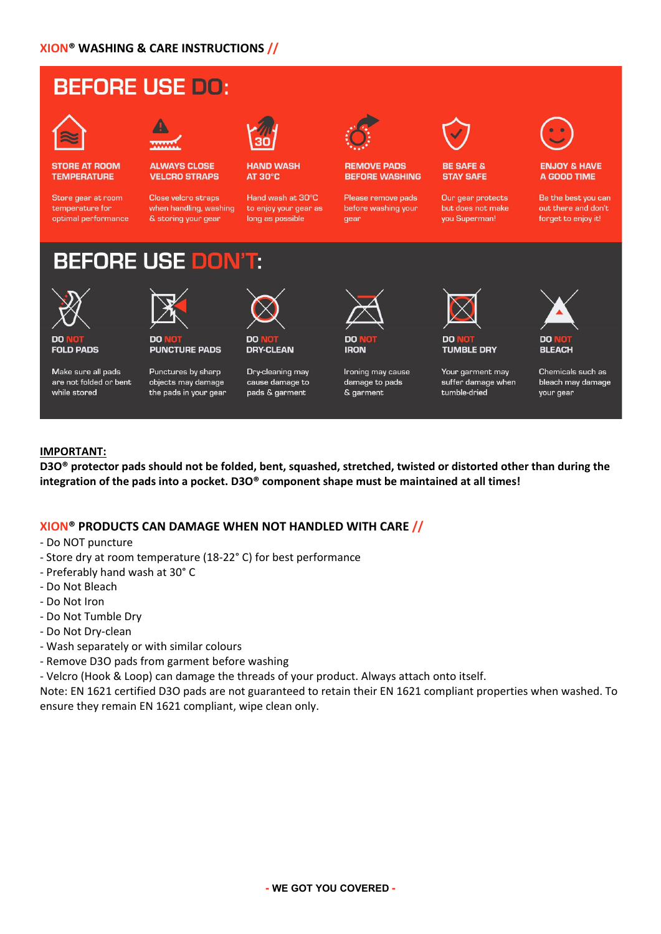# **BEFORE USE DO:**



**STORE AT ROOM TEMPERATURE** 

Store gear at room temperature for optimal performance



**ALWAYS CLOSE VELCRO STRAPS** 

Close velcro straps when handling, washing & storing your gear



**HAND WASH AT 30°C** 

Hand wash at 30°C to enjoy your gear as long as possible



**REMOVE PADS BEFORE WASHING** 

Please remove pads before washing your qear



#### **BE SAFE & STAY SAFE**

Our gear protects but does not make you Superman!



#### **ENJOY & HAVE** A GOOD TIME

Be the best you can out there and don't forget to enjoy it!

# **BEFORE USE DO**

nn



**FOLD PADS** 

Make sure all pads are not folded or bent while stored



Punctures by sharp objects may damage the pads in your gear

**PUNCTURE PADS** 



**DRY-CLEAN** 

Dry-cleaning may cause damage to pads & garment



Ironing may cause damage to pads & garment



**TUMBLE DRY** 

tumble-dried

Your garment may

suffer damage when



Chemicals such as bleach may damage your gear

### **IMPORTANT:**

D3O<sup>®</sup> protector pads should not be folded, bent, squashed, stretched, twisted or distorted other than during the **integration of the pads into a pocket. D3O® component shape must be maintained at all times!**

### **XION® PRODUCTS CAN DAMAGE WHEN NOT HANDLED WITH CARE //**

‐ Do NOT puncture

- ‐ Store dry at room temperature (18‐22° C) for best performance
- ‐ Preferably hand wash at 30° C
- ‐ Do Not Bleach
- ‐ Do Not Iron
- ‐ Do Not Tumble Dry
- ‐ Do Not Dry‐clean
- ‐ Wash separately or with similar colours
- ‐ Remove D3O pads from garment before washing

‐ Velcro (Hook & Loop) can damage the threads of your product. Always attach onto itself.

Note: EN 1621 certified D3O pads are not guaranteed to retain their EN 1621 compliant properties when washed. To ensure they remain EN 1621 compliant, wipe clean only.